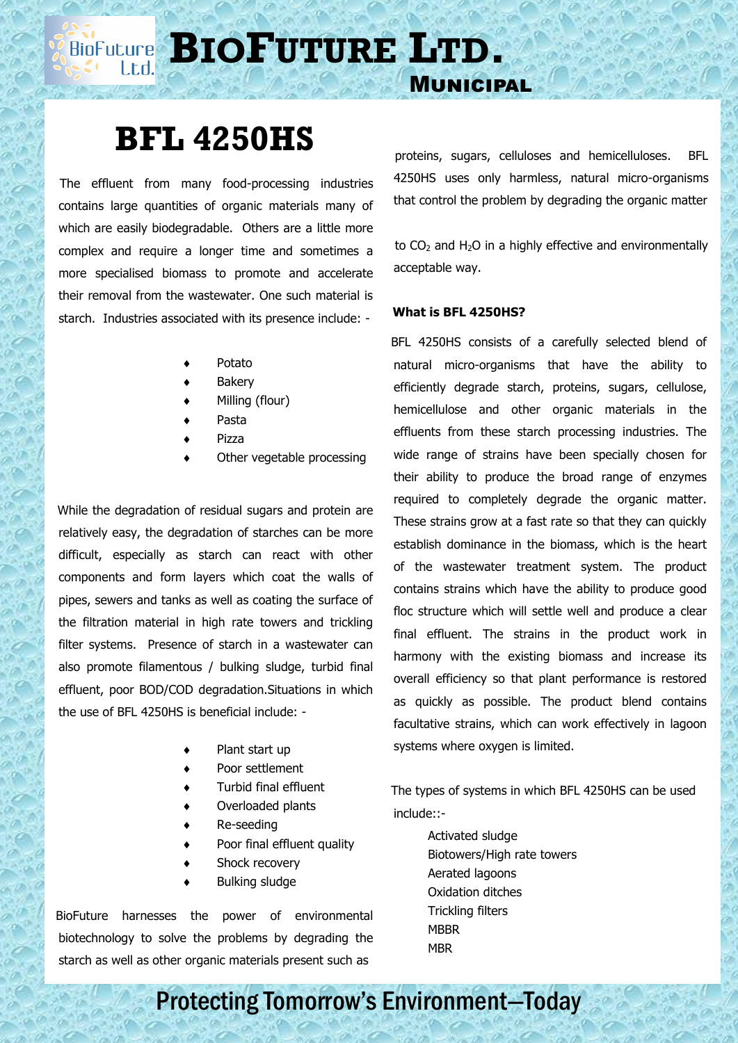**BIOPULLICE BIOFUTURE LTD.** 

### **MUNICIPAL**

# **BFL 4250HS**

 The effluent from many food-processing industries contains large quantities of organic materials many of which are easily biodegradable. Others are a little more complex and require a longer time and sometimes a more specialised biomass to promote and accelerate their removal from the wastewater. One such material is starch. Industries associated with its presence include: -

- Potato
- Bakery
- Milling (flour)
- Pasta
- Pizza
- Other vegetable processing

 While the degradation of residual sugars and protein are relatively easy, the degradation of starches can be more difficult, especially as starch can react with other components and form layers which coat the walls of pipes, sewers and tanks as well as coating the surface of the filtration material in high rate towers and trickling filter systems. Presence of starch in a wastewater can also promote filamentous / bulking sludge, turbid final effluent, poor BOD/COD degradation.Situations in which the use of BFL 4250HS is beneficial include: -

- Plant start up
- Poor settlement
- Turbid final effluent
- Overloaded plants
- Re-seeding
- Poor final effluent quality
- Shock recovery
- Bulking sludge

 BioFuture harnesses the power of environmental biotechnology to solve the problems by degrading the starch as well as other organic materials present such as

 proteins, sugars, celluloses and hemicelluloses. BFL 4250HS uses only harmless, natural micro-organisms that control the problem by degrading the organic matter

to  $CO<sub>2</sub>$  and H<sub>2</sub>O in a highly effective and environmentally acceptable way.

#### **What is BFL 4250HS?**

 BFL 4250HS consists of a carefully selected blend of natural micro-organisms that have the ability to efficiently degrade starch, proteins, sugars, cellulose, hemicellulose and other organic materials in the effluents from these starch processing industries. The wide range of strains have been specially chosen for their ability to produce the broad range of enzymes required to completely degrade the organic matter. These strains grow at a fast rate so that they can quickly establish dominance in the biomass, which is the heart of the wastewater treatment system. The product contains strains which have the ability to produce good floc structure which will settle well and produce a clear final effluent. The strains in the product work in harmony with the existing biomass and increase its overall efficiency so that plant performance is restored as quickly as possible. The product blend contains facultative strains, which can work effectively in lagoon systems where oxygen is limited.

 The types of systems in which BFL 4250HS can be used include::-

> Activated sludge Biotowers/High rate towers Aerated lagoons Oxidation ditches Trickling filters MBBR MBR

## Protecting Tomorrow's Environment—Today